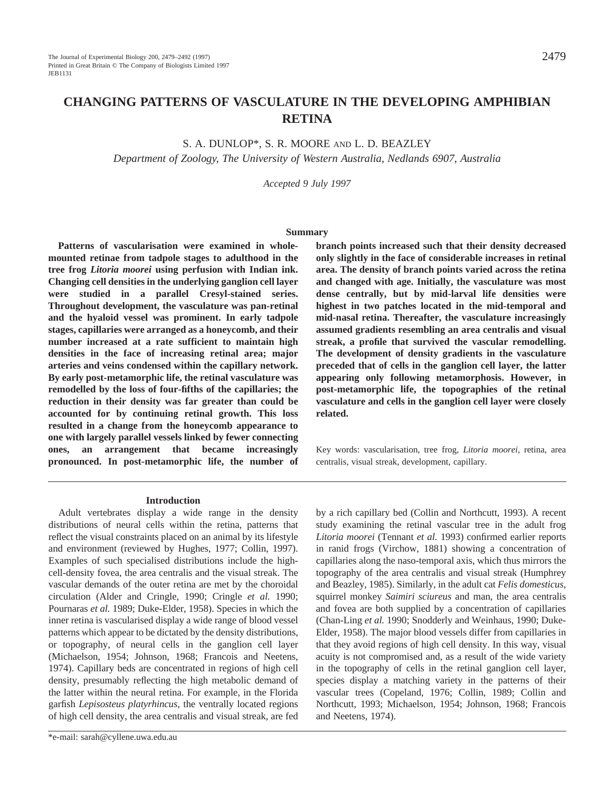# **CHANGING PATTERNS OF VASCULATURE IN THE DEVELOPING AMPHIBIAN RETINA**

S. A. DUNLOP\*, S. R. MOORE AND L. D. BEAZLEY

*Department of Zoology, The University of Western Australia, Nedlands 6907, Australia*

*Accepted 9 July 1997*

#### **Summary**

**Patterns of vascularisation were examined in wholemounted retinae from tadpole stages to adulthood in the tree frog** *Litoria moorei* **using perfusion with Indian ink. Changing cell densities in the underlying ganglion cell layer were studied in a parallel Cresyl-stained series. Throughout development, the vasculature was pan-retinal and the hyaloid vessel was prominent. In early tadpole stages, capillaries were arranged as a honeycomb, and their number increased at a rate sufficient to maintain high densities in the face of increasing retinal area; major arteries and veins condensed within the capillary network. By early post-metamorphic life, the retinal vasculature was remodelled by the loss of four-fifths of the capillaries; the reduction in their density was far greater than could be accounted for by continuing retinal growth. This loss resulted in a change from the honeycomb appearance to one with largely parallel vessels linked by fewer connecting ones, an arrangement that became increasingly pronounced. In post-metamorphic life, the number of** **branch points increased such that their density decreased only slightly in the face of considerable increases in retinal area. The density of branch points varied across the retina and changed with age. Initially, the vasculature was most dense centrally, but by mid-larval life densities were highest in two patches located in the mid-temporal and mid-nasal retina. Thereafter, the vasculature increasingly assumed gradients resembling an area centralis and visual streak, a profile that survived the vascular remodelling. The development of density gradients in the vasculature preceded that of cells in the ganglion cell layer, the latter appearing only following metamorphosis. However, in post-metamorphic life, the topographies of the retinal vasculature and cells in the ganglion cell layer were closely related.**

Key words: vascularisation, tree frog, *Litoria moorei*, retina, area centralis, visual streak, development, capillary.

#### **Introduction**

Adult vertebrates display a wide range in the density distributions of neural cells within the retina, patterns that reflect the visual constraints placed on an animal by its lifestyle and environment (reviewed by Hughes, 1977; Collin, 1997). Examples of such specialised distributions include the highcell-density fovea, the area centralis and the visual streak. The vascular demands of the outer retina are met by the choroidal circulation (Alder and Cringle, 1990; Cringle *et al.* 1990; Pournaras *et al.* 1989; Duke-Elder, 1958). Species in which the inner retina is vascularised display a wide range of blood vessel patterns which appear to be dictated by the density distributions, or topography, of neural cells in the ganglion cell layer (Michaelson, 1954; Johnson, 1968; Francois and Neetens, 1974). Capillary beds are concentrated in regions of high cell density, presumably reflecting the high metabolic demand of the latter within the neural retina. For example, in the Florida garfish *Lepisosteus platyrhincus*, the ventrally located regions of high cell density, the area centralis and visual streak, are fed

by a rich capillary bed (Collin and Northcutt, 1993). A recent study examining the retinal vascular tree in the adult frog *Litoria moorei* (Tennant *et al.* 1993) confirmed earlier reports in ranid frogs (Virchow, 1881) showing a concentration of capillaries along the naso-temporal axis, which thus mirrors the topography of the area centralis and visual streak (Humphrey and Beazley, 1985). Similarly, in the adult cat *Felis domesticus*, squirrel monkey *Saimiri sciureus* and man, the area centralis and fovea are both supplied by a concentration of capillaries (Chan-Ling *et al.* 1990; Snodderly and Weinhaus, 1990; Duke-Elder, 1958). The major blood vessels differ from capillaries in that they avoid regions of high cell density. In this way, visual acuity is not compromised and, as a result of the wide variety in the topography of cells in the retinal ganglion cell layer, species display a matching variety in the patterns of their vascular trees (Copeland, 1976; Collin, 1989; Collin and Northcutt, 1993; Michaelson, 1954; Johnson, 1968; Francois and Neetens, 1974).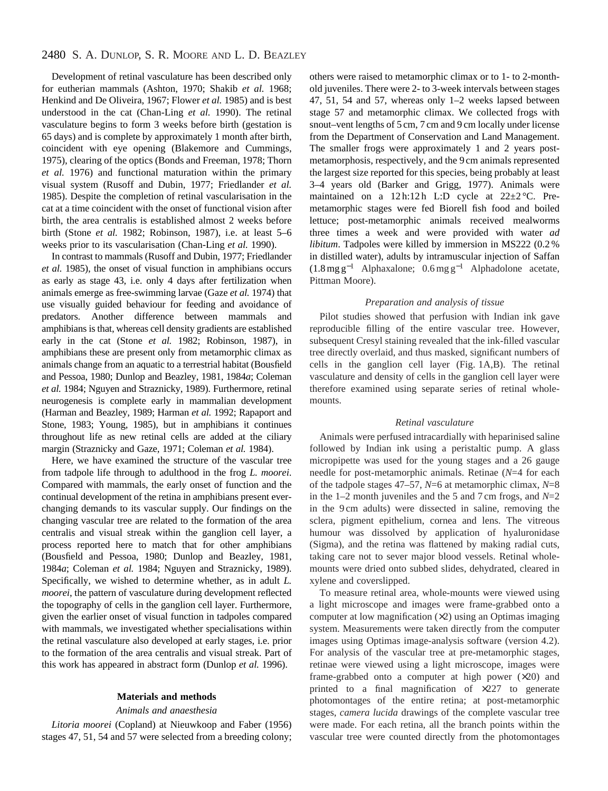Development of retinal vasculature has been described only for eutherian mammals (Ashton, 1970; Shakib *et al.* 1968; Henkind and De Oliveira, 1967; Flower *et al.* 1985) and is best understood in the cat (Chan-Ling *et al.* 1990). The retinal vasculature begins to form 3 weeks before birth (gestation is 65 days) and is complete by approximately 1 month after birth, coincident with eye opening (Blakemore and Cummings, 1975), clearing of the optics (Bonds and Freeman, 1978; Thorn *et al.* 1976) and functional maturation within the primary visual system (Rusoff and Dubin, 1977; Friedlander *et al.* 1985). Despite the completion of retinal vascularisation in the cat at a time coincident with the onset of functional vision after birth, the area centralis is established almost 2 weeks before birth (Stone *et al.* 1982; Robinson, 1987), i.e. at least 5–6 weeks prior to its vascularisation (Chan-Ling *et al.* 1990).

In contrast to mammals (Rusoff and Dubin, 1977; Friedlander *et al.* 1985), the onset of visual function in amphibians occurs as early as stage 43, i.e. only 4 days after fertilization when animals emerge as free-swimming larvae (Gaze *et al.* 1974) that use visually guided behaviour for feeding and avoidance of predators. Another difference between mammals and amphibians is that, whereas cell density gradients are established early in the cat (Stone *et al.* 1982; Robinson, 1987), in amphibians these are present only from metamorphic climax as animals change from an aquatic to a terrestrial habitat (Bousfield and Pessoa, 1980; Dunlop and Beazley, 1981, 1984*a*; Coleman *et al.* 1984; Nguyen and Straznicky, 1989). Furthermore, retinal neurogenesis is complete early in mammalian development (Harman and Beazley, 1989; Harman *et al.* 1992; Rapaport and Stone, 1983; Young, 1985), but in amphibians it continues throughout life as new retinal cells are added at the ciliary margin (Straznicky and Gaze, 1971; Coleman *et al.* 1984).

Here, we have examined the structure of the vascular tree from tadpole life through to adulthood in the frog *L. moorei*. Compared with mammals, the early onset of function and the continual development of the retina in amphibians present everchanging demands to its vascular supply. Our findings on the changing vascular tree are related to the formation of the area centralis and visual streak within the ganglion cell layer, a process reported here to match that for other amphibians (Bousfield and Pessoa, 1980; Dunlop and Beazley, 1981, 1984*a*; Coleman *et al.* 1984; Nguyen and Straznicky, 1989). Specifically, we wished to determine whether, as in adult *L. moorei*, the pattern of vasculature during development reflected the topography of cells in the ganglion cell layer. Furthermore, given the earlier onset of visual function in tadpoles compared with mammals, we investigated whether specialisations within the retinal vasculature also developed at early stages, i.e. prior to the formation of the area centralis and visual streak. Part of this work has appeared in abstract form (Dunlop *et al.* 1996).

# **Materials and methods**

#### *Animals and anaesthesia*

*Litoria moorei* (Copland) at Nieuwkoop and Faber (1956) stages 47, 51, 54 and 57 were selected from a breeding colony; others were raised to metamorphic climax or to 1- to 2-monthold juveniles. There were 2- to 3-week intervals between stages 47, 51, 54 and 57, whereas only 1–2 weeks lapsed between stage 57 and metamorphic climax. We collected frogs with snout–vent lengths of 5 cm, 7 cm and 9 cm locally under license from the Department of Conservation and Land Management. The smaller frogs were approximately 1 and 2 years postmetamorphosis, respectively, and the 9 cm animals represented the largest size reported for this species, being probably at least 3–4 years old (Barker and Grigg, 1977). Animals were maintained on a 12 h:12 h L:D cycle at  $22\pm2$  °C. Premetamorphic stages were fed Biorell fish food and boiled lettuce; post-metamorphic animals received mealworms three times a week and were provided with water *ad libitum*. Tadpoles were killed by immersion in MS222 (0.2 % in distilled water), adults by intramuscular injection of Saffan  $(1.8 \text{ mg g}^{-1}$  Alphaxalone; 0.6mg g<sup>-1</sup> Alphadolone acetate, Pittman Moore).

# *Preparation and analysis of tissue*

Pilot studies showed that perfusion with Indian ink gave reproducible filling of the entire vascular tree. However, subsequent Cresyl staining revealed that the ink-filled vascular tree directly overlaid, and thus masked, significant numbers of cells in the ganglion cell layer (Fig. 1A,B). The retinal vasculature and density of cells in the ganglion cell layer were therefore examined using separate series of retinal wholemounts.

### *Retinal vasculature*

Animals were perfused intracardially with heparinised saline followed by Indian ink using a peristaltic pump. A glass micropipette was used for the young stages and a 26 gauge needle for post-metamorphic animals. Retinae (*N*=4 for each of the tadpole stages 47–57, *N*=6 at metamorphic climax, *N*=8 in the 1–2 month juveniles and the 5 and 7 cm frogs, and  $N=2$ in the 9 cm adults) were dissected in saline, removing the sclera, pigment epithelium, cornea and lens. The vitreous humour was dissolved by application of hyaluronidase (Sigma), and the retina was flattened by making radial cuts, taking care not to sever major blood vessels. Retinal wholemounts were dried onto subbed slides, dehydrated, cleared in xylene and coverslipped.

To measure retinal area, whole-mounts were viewed using a light microscope and images were frame-grabbed onto a computer at low magnification  $(\times 2)$  using an Optimas imaging system. Measurements were taken directly from the computer images using Optimas image-analysis software (version 4.2). For analysis of the vascular tree at pre-metamorphic stages, retinae were viewed using a light microscope, images were frame-grabbed onto a computer at high power  $(x20)$  and printed to a final magnification of  $\times$ 227 to generate photomontages of the entire retina; at post-metamorphic stages, *camera lucida* drawings of the complete vascular tree were made. For each retina, all the branch points within the vascular tree were counted directly from the photomontages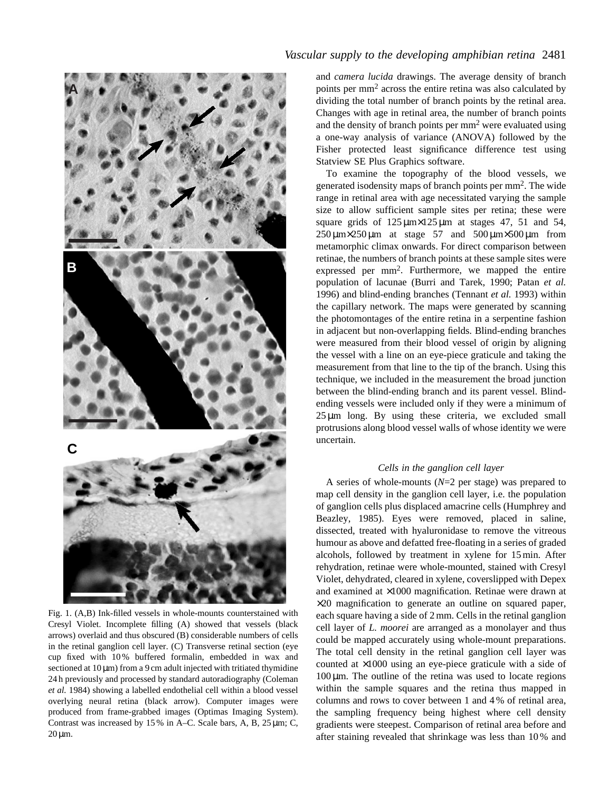

Fig. 1. (A,B) Ink-filled vessels in whole-mounts counterstained with Cresyl Violet. Incomplete filling (A) showed that vessels (black arrows) overlaid and thus obscured (B) considerable numbers of cells in the retinal ganglion cell layer. (C) Transverse retinal section (eye cup fixed with 10 % buffered formalin, embedded in wax and sectioned at  $10 \mu m$ ) from a 9 cm adult injected with tritiated thymidine 24 h previously and processed by standard autoradiography (Coleman *et al.* 1984) showing a labelled endothelial cell within a blood vessel overlying neural retina (black arrow). Computer images were produced from frame-grabbed images (Optimas Imaging System). Contrast was increased by 15 % in A–C. Scale bars, A, B, 25 µm; C,  $20 \mu m$ .

# *Vascular supply to the developing amphibian retina* 2481

and *camera lucida* drawings. The average density of branch points per mm2 across the entire retina was also calculated by dividing the total number of branch points by the retinal area. Changes with age in retinal area, the number of branch points and the density of branch points per  $mm<sup>2</sup>$  were evaluated using a one-way analysis of variance (ANOVA) followed by the Fisher protected least significance difference test using Statview SE Plus Graphics software.

To examine the topography of the blood vessels, we generated isodensity maps of branch points per mm2. The wide range in retinal area with age necessitated varying the sample size to allow sufficient sample sites per retina; these were square grids of  $125 \mu m \times 125 \mu m$  at stages 47, 51 and 54,  $250 \mu m \times 250 \mu m$  at stage 57 and  $500 \mu m \times 500 \mu m$  from metamorphic climax onwards. For direct comparison between retinae, the numbers of branch points at these sample sites were expressed per mm2. Furthermore, we mapped the entire population of lacunae (Burri and Tarek, 1990; Patan *et al.* 1996) and blind-ending branches (Tennant *et al.* 1993) within the capillary network. The maps were generated by scanning the photomontages of the entire retina in a serpentine fashion in adjacent but non-overlapping fields. Blind-ending branches were measured from their blood vessel of origin by aligning the vessel with a line on an eye-piece graticule and taking the measurement from that line to the tip of the branch. Using this technique, we included in the measurement the broad junction between the blind-ending branch and its parent vessel. Blindending vessels were included only if they were a minimum of  $25 \mu m$  long. By using these criteria, we excluded small protrusions along blood vessel walls of whose identity we were uncertain.

# *Cells in the ganglion cell layer*

A series of whole-mounts (*N*=2 per stage) was prepared to map cell density in the ganglion cell layer, i.e. the population of ganglion cells plus displaced amacrine cells (Humphrey and Beazley, 1985). Eyes were removed, placed in saline, dissected, treated with hyaluronidase to remove the vitreous humour as above and defatted free-floating in a series of graded alcohols, followed by treatment in xylene for 15min. After rehydration, retinae were whole-mounted, stained with Cresyl Violet, dehydrated, cleared in xylene, coverslipped with Depex and examined at ×1000 magnification. Retinae were drawn at ×20 magnification to generate an outline on squared paper, each square having a side of 2mm. Cells in the retinal ganglion cell layer of *L. moorei* are arranged as a monolayer and thus could be mapped accurately using whole-mount preparations. The total cell density in the retinal ganglion cell layer was counted at ×1000 using an eye-piece graticule with a side of  $100 \mu m$ . The outline of the retina was used to locate regions within the sample squares and the retina thus mapped in columns and rows to cover between 1 and 4 % of retinal area, the sampling frequency being highest where cell density gradients were steepest. Comparison of retinal area before and after staining revealed that shrinkage was less than 10 % and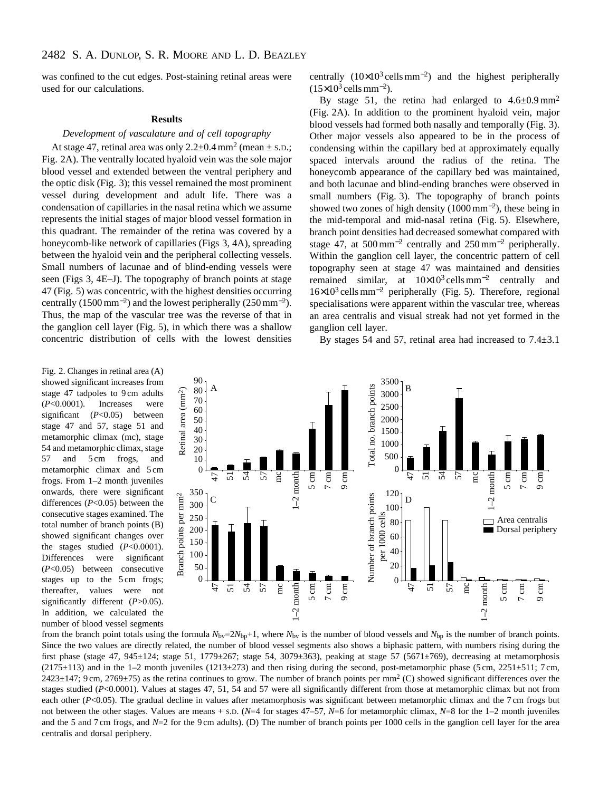was confined to the cut edges. Post-staining retinal areas were used for our calculations.

#### **Results**

# *Development of vasculature and of cell topography*

At stage 47, retinal area was only  $2.2\pm 0.4$  mm<sup>2</sup> (mean  $\pm$  s.p.; Fig. 2A). The ventrally located hyaloid vein was the sole major blood vessel and extended between the ventral periphery and the optic disk (Fig. 3); this vessel remained the most prominent vessel during development and adult life. There was a condensation of capillaries in the nasal retina which we assume represents the initial stages of major blood vessel formation in this quadrant. The remainder of the retina was covered by a honeycomb-like network of capillaries (Figs 3, 4A), spreading between the hyaloid vein and the peripheral collecting vessels. Small numbers of lacunae and of blind-ending vessels were seen (Figs 3, 4E–J). The topography of branch points at stage 47 (Fig. 5) was concentric, with the highest densities occurring centrally (1500 mm<sup>-2</sup>) and the lowest peripherally (250 mm<sup>-2</sup>). Thus, the map of the vascular tree was the reverse of that in the ganglion cell layer (Fig. 5), in which there was a shallow concentric distribution of cells with the lowest densities

centrally  $(10\times10^{3} \text{ cells mm}^{-2})$  and the highest peripherally  $(15\times10^3 \text{ cells mm}^{-2})$ .

By stage 51, the retina had enlarged to  $4.6\pm0.9$  mm<sup>2</sup> (Fig. 2A). In addition to the prominent hyaloid vein, major blood vessels had formed both nasally and temporally (Fig. 3). Other major vessels also appeared to be in the process of condensing within the capillary bed at approximately equally spaced intervals around the radius of the retina. The honeycomb appearance of the capillary bed was maintained, and both lacunae and blind-ending branches were observed in small numbers (Fig. 3). The topography of branch points showed two zones of high density  $(1000 \text{ mm}^{-2})$ , these being in the mid-temporal and mid-nasal retina (Fig. 5). Elsewhere, branch point densities had decreased somewhat compared with stage 47, at 500mm−<sup>2</sup> centrally and 250mm−<sup>2</sup> peripherally. Within the ganglion cell layer, the concentric pattern of cell topography seen at stage 47 was maintained and densities remained similar, at  $10\times10^3$  cells mm<sup>-2</sup> centrally and 16×103 cellsmm−<sup>2</sup> peripherally (Fig. 5). Therefore, regional specialisations were apparent within the vascular tree, whereas an area centralis and visual streak had not yet formed in the ganglion cell layer.

By stages 54 and 57, retinal area had increased to 7.4±3.1

Fig. 2. Changes in retinal area (A) showed significant increases from stage 47 tadpoles to 9 cm adults (*P*<0.0001). Increases were significant (*P*<0.05) between stage 47 and 57, stage 51 and metamorphic climax (mc), stage 54 and metamorphic climax, stage 57 and 5 cm frogs, and metamorphic climax and 5 cm frogs. From 1–2 month juveniles onwards, there were significant differences (*P*<0.05) between the consecutive stages examined. The total number of branch points (B) showed significant changes over the stages studied (*P*<0.0001). Differences were significant (*P*<0.05) between consecutive stages up to the 5 cm frogs; thereafter, values were not significantly different (*P*>0.05). In addition, we calculated the number of blood vessel segments



from the branch point totals using the formula  $N_{\text{bv}}=2N_{\text{bp}}+1$ , where  $N_{\text{bv}}$  is the number of blood vessels and  $N_{\text{bp}}$  is the number of branch points. Since the two values are directly related, the number of blood vessel segments also shows a biphasic pattern, with numbers rising during the first phase (stage 47, 945±124; stage 51, 1779±267; stage 54, 3079±363), peaking at stage 57 (5671±769), decreasing at metamorphosis  $(2175\pm113)$  and in the 1–2 month juveniles  $(1213\pm273)$  and then rising during the second, post-metamorphic phase (5 cm, 2251 $\pm$ 511; 7 cm,  $2423\pm147$ ; 9 cm,  $2769\pm75$ ) as the retina continues to grow. The number of branch points per mm<sup>2</sup> (C) showed significant differences over the stages studied (*P*<0.0001). Values at stages 47, 51, 54 and 57 were all significantly different from those at metamorphic climax but not from each other (*P*<0.05). The gradual decline in values after metamorphosis was significant between metamorphic climax and the 7 cm frogs but not between the other stages. Values are means + S.D. (*N*=4 for stages 47–57, *N*=6 for metamorphic climax, *N*=8 for the 1–2 month juveniles and the 5 and 7 cm frogs, and  $N=2$  for the 9 cm adults). (D) The number of branch points per 1000 cells in the ganglion cell layer for the area centralis and dorsal periphery.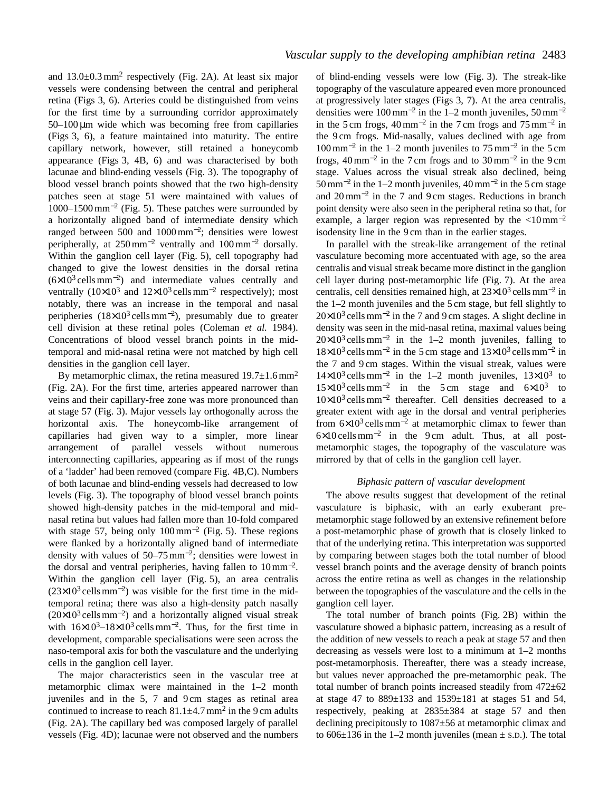and 13.0±0.3mm<sup>2</sup> respectively (Fig. 2A). At least six major vessels were condensing between the central and peripheral retina (Figs 3, 6). Arteries could be distinguished from veins for the first time by a surrounding corridor approximately  $50-100 \,\mu m$  wide which was becoming free from capillaries (Figs 3, 6), a feature maintained into maturity. The entire capillary network, however, still retained a honeycomb appearance (Figs 3, 4B, 6) and was characterised by both lacunae and blind-ending vessels (Fig. 3). The topography of blood vessel branch points showed that the two high-density patches seen at stage 51 were maintained with values of 1000–1500mm−<sup>2</sup> (Fig. 5). These patches were surrounded by a horizontally aligned band of intermediate density which ranged between 500 and 1000mm<sup>−</sup>2; densities were lowest peripherally, at 250mm−<sup>2</sup> ventrally and 100mm−<sup>2</sup> dorsally. Within the ganglion cell layer (Fig. 5), cell topography had changed to give the lowest densities in the dorsal retina  $(6\times10^3 \text{ cells mm}^{-2})$  and intermediate values centrally and ventrally  $(10\times10^3 \text{ and } 12\times10^3 \text{ cells mm}^{-2}$  respectively); most notably, there was an increase in the temporal and nasal peripheries  $(18\times10^{3} \text{ cells mm}^{-2})$ , presumably due to greater cell division at these retinal poles (Coleman *et al.* 1984). Concentrations of blood vessel branch points in the midtemporal and mid-nasal retina were not matched by high cell densities in the ganglion cell layer.

By metamorphic climax, the retina measured  $19.7\pm1.6$  mm<sup>2</sup> (Fig. 2A). For the first time, arteries appeared narrower than veins and their capillary-free zone was more pronounced than at stage 57 (Fig. 3). Major vessels lay orthogonally across the horizontal axis. The honeycomb-like arrangement of capillaries had given way to a simpler, more linear arrangement of parallel vessels without numerous interconnecting capillaries, appearing as if most of the rungs of a 'ladder' had been removed (compare Fig. 4B,C). Numbers of both lacunae and blind-ending vessels had decreased to low levels (Fig. 3). The topography of blood vessel branch points showed high-density patches in the mid-temporal and midnasal retina but values had fallen more than 10-fold compared with stage 57, being only  $100 \text{ mm}^{-2}$  (Fig. 5). These regions were flanked by a horizontally aligned band of intermediate density with values of  $50-75$  mm<sup>-2</sup>; densities were lowest in the dorsal and ventral peripheries, having fallen to  $10 \text{ mm}^{-2}$ . Within the ganglion cell layer (Fig. 5), an area centralis  $(23\times10^{3} \text{ cells mm}^{-2})$  was visible for the first time in the midtemporal retina; there was also a high-density patch nasally  $(20\times10^{3} \text{ cells mm}^{-2})$  and a horizontally aligned visual streak with  $16\times10^3$ – $18\times10^3$  cells mm<sup>-2</sup>. Thus, for the first time in development, comparable specialisations were seen across the naso-temporal axis for both the vasculature and the underlying cells in the ganglion cell layer.

The major characteristics seen in the vascular tree at metamorphic climax were maintained in the 1–2 month juveniles and in the 5, 7 and 9 cm stages as retinal area continued to increase to reach  $81.1 \pm 4.7$  mm<sup>2</sup> in the 9 cm adults (Fig. 2A). The capillary bed was composed largely of parallel vessels (Fig. 4D); lacunae were not observed and the numbers

of blind-ending vessels were low (Fig. 3). The streak-like topography of the vasculature appeared even more pronounced at progressively later stages (Figs 3, 7). At the area centralis, densities were  $100 \text{ mm}^{-2}$  in the 1–2 month juveniles,  $50 \text{ mm}^{-2}$ in the 5 cm frogs,  $40 \text{ mm}^{-2}$  in the 7 cm frogs and  $75 \text{ mm}^{-2}$  in the 9 cm frogs. Mid-nasally, values declined with age from  $100 \text{ mm}^{-2}$  in the 1–2 month juveniles to  $75 \text{ mm}^{-2}$  in the 5 cm frogs,  $40 \text{ mm}^{-2}$  in the 7 cm frogs and to  $30 \text{ mm}^{-2}$  in the 9 cm stage. Values across the visual streak also declined, being  $50 \text{ mm}^{-2}$  in the 1–2 month juveniles,  $40 \text{ mm}^{-2}$  in the 5 cm stage and 20mm−<sup>2</sup> in the 7 and 9 cm stages. Reductions in branch point density were also seen in the peripheral retina so that, for example, a larger region was represented by the  $\langle 10 \text{ mm}^{-2}$ isodensity line in the 9 cm than in the earlier stages.

In parallel with the streak-like arrangement of the retinal vasculature becoming more accentuated with age, so the area centralis and visual streak became more distinct in the ganglion cell layer during post-metamorphic life (Fig. 7). At the area centralis, cell densities remained high, at  $23\times10^3$  cells mm<sup>-2</sup> in the 1–2 month juveniles and the 5 cm stage, but fell slightly to  $20\times10^{3}$  cells mm<sup>-2</sup> in the 7 and 9 cm stages. A slight decline in density was seen in the mid-nasal retina, maximal values being  $20\times10^{3}$  cells mm<sup>-2</sup> in the 1–2 month juveniles, falling to 18×10<sup>3</sup> cellsmm−<sup>2</sup> in the 5 cm stage and 13×103 cellsmm−<sup>2</sup> in the 7 and 9 cm stages. Within the visual streak, values were  $14\times10^3$  cells mm<sup>-2</sup> in the 1–2 month juveniles,  $13\times10^3$  to  $15\times10^{3}$  cells mm<sup>-2</sup> in the 5 cm stage and  $6\times10^{3}$  to 10×103 cellsmm−<sup>2</sup> thereafter. Cell densities decreased to a greater extent with age in the dorsal and ventral peripheries from  $6\times10^3$  cells mm<sup>-2</sup> at metamorphic climax to fewer than 6×10 cellsmm−<sup>2</sup> in the 9 cm adult. Thus, at all postmetamorphic stages, the topography of the vasculature was mirrored by that of cells in the ganglion cell layer.

### *Biphasic pattern of vascular development*

The above results suggest that development of the retinal vasculature is biphasic, with an early exuberant premetamorphic stage followed by an extensive refinement before a post-metamorphic phase of growth that is closely linked to that of the underlying retina. This interpretation was supported by comparing between stages both the total number of blood vessel branch points and the average density of branch points across the entire retina as well as changes in the relationship between the topographies of the vasculature and the cells in the ganglion cell layer.

The total number of branch points (Fig. 2B) within the vasculature showed a biphasic pattern, increasing as a result of the addition of new vessels to reach a peak at stage 57 and then decreasing as vessels were lost to a minimum at 1–2 months post-metamorphosis. Thereafter, there was a steady increase, but values never approached the pre-metamorphic peak. The total number of branch points increased steadily from 472±62 at stage 47 to  $889 \pm 133$  and  $1539 \pm 181$  at stages 51 and 54, respectively, peaking at 2835±384 at stage 57 and then declining precipitously to 1087±56 at metamorphic climax and to  $606\pm136$  in the 1–2 month juveniles (mean  $\pm$  s.p.). The total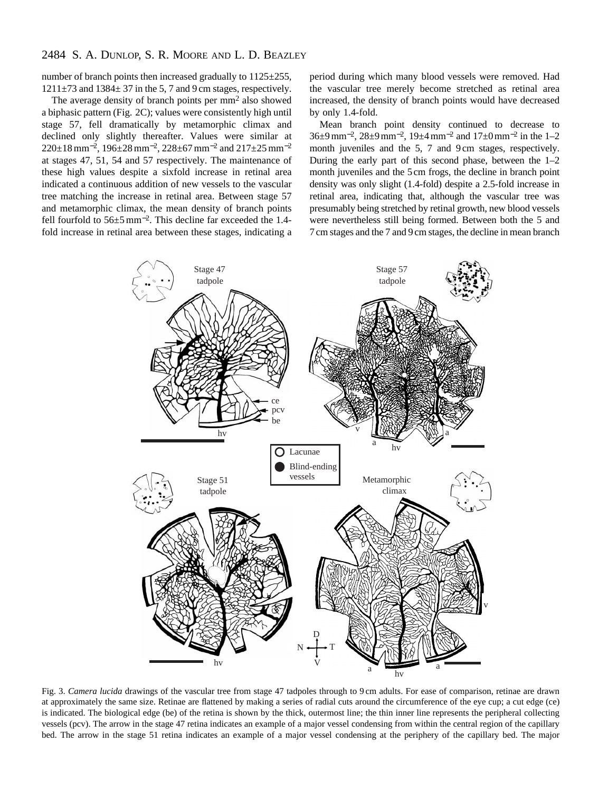# 2484 S. A. DUNLOP, S. R. MOORE AND L. D. BEAZLEY

number of branch points then increased gradually to 1125±255,  $1211\pm73$  and  $1384\pm37$  in the 5, 7 and 9 cm stages, respectively.

The average density of branch points per mm<sup>2</sup> also showed a biphasic pattern (Fig. 2C); values were consistently high until stage 57, fell dramatically by metamorphic climax and declined only slightly thereafter. Values were similar at 220±18mm<sup>−</sup>2, 196±28mm−2, 228±67mm−<sup>2</sup> and 217±25mm−<sup>2</sup> at stages 47, 51, 54 and 57 respectively. The maintenance of these high values despite a sixfold increase in retinal area indicated a continuous addition of new vessels to the vascular tree matching the increase in retinal area. Between stage 57 and metamorphic climax, the mean density of branch points fell fourfold to 56±5mm<sup>−</sup>2. This decline far exceeded the 1.4 fold increase in retinal area between these stages, indicating a period during which many blood vessels were removed. Had the vascular tree merely become stretched as retinal area increased, the density of branch points would have decreased by only 1.4-fold.

Mean branch point density continued to decrease to  $36\pm9$  mm<sup>-2</sup>,  $28\pm9$  mm<sup>-2</sup>,  $19\pm4$  mm<sup>-2</sup> and  $17\pm0$  mm<sup>-2</sup> in the 1–2 month juveniles and the 5, 7 and 9 cm stages, respectively. During the early part of this second phase, between the 1–2 month juveniles and the 5 cm frogs, the decline in branch point density was only slight (1.4-fold) despite a 2.5-fold increase in retinal area, indicating that, although the vascular tree was presumably being stretched by retinal growth, new blood vessels were nevertheless still being formed. Between both the 5 and 7 cm stages and the 7 and 9 cm stages, the decline in mean branch



Fig. 3. *Camera lucida* drawings of the vascular tree from stage 47 tadpoles through to 9 cm adults. For ease of comparison, retinae are drawn at approximately the same size. Retinae are flattened by making a series of radial cuts around the circumference of the eye cup; a cut edge (ce) is indicated. The biological edge (be) of the retina is shown by the thick, outermost line; the thin inner line represents the peripheral collecting vessels (pcv). The arrow in the stage 47 retina indicates an example of a major vessel condensing from within the central region of the capillary bed. The arrow in the stage 51 retina indicates an example of a major vessel condensing at the periphery of the capillary bed. The major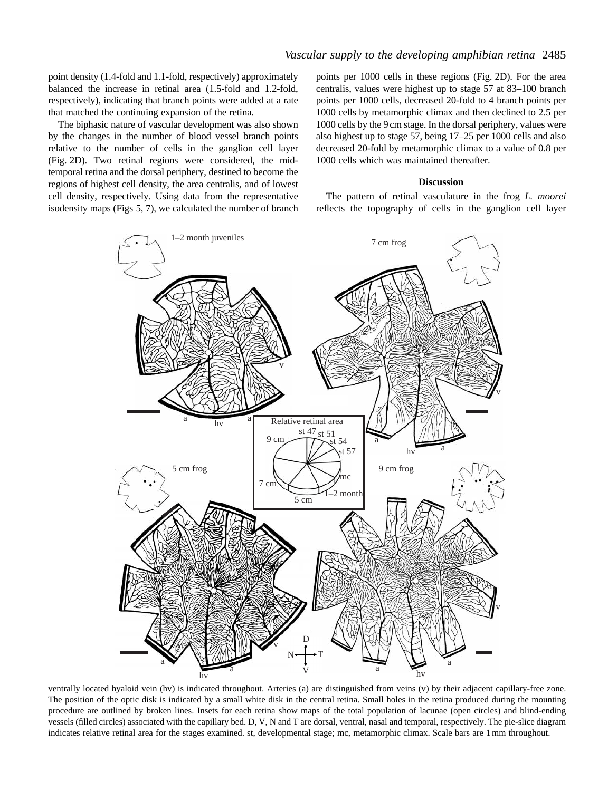point density (1.4-fold and 1.1-fold, respectively) approximately balanced the increase in retinal area (1.5-fold and 1.2-fold, respectively), indicating that branch points were added at a rate that matched the continuing expansion of the retina.

The biphasic nature of vascular development was also shown by the changes in the number of blood vessel branch points relative to the number of cells in the ganglion cell layer (Fig. 2D). Two retinal regions were considered, the midtemporal retina and the dorsal periphery, destined to become the regions of highest cell density, the area centralis, and of lowest cell density, respectively. Using data from the representative isodensity maps (Figs 5, 7), we calculated the number of branch

points per 1000 cells in these regions (Fig. 2D). For the area centralis, values were highest up to stage 57 at 83–100 branch points per 1000 cells, decreased 20-fold to 4 branch points per 1000 cells by metamorphic climax and then declined to 2.5 per 1000 cells by the 9 cm stage. In the dorsal periphery, values were also highest up to stage 57, being 17–25 per 1000 cells and also decreased 20-fold by metamorphic climax to a value of 0.8 per 1000 cells which was maintained thereafter.

#### **Discussion**

The pattern of retinal vasculature in the frog *L. moorei* reflects the topography of cells in the ganglion cell layer



ventrally located hyaloid vein (hv) is indicated throughout. Arteries (a) are distinguished from veins (v) by their adjacent capillary-free zone. The position of the optic disk is indicated by a small white disk in the central retina. Small holes in the retina produced during the mounting procedure are outlined by broken lines. Insets for each retina show maps of the total population of lacunae (open circles) and blind-ending vessels (filled circles) associated with the capillary bed. D, V, N and T are dorsal, ventral, nasal and temporal, respectively. The pie-slice diagram indicates relative retinal area for the stages examined. st, developmental stage; mc, metamorphic climax. Scale bars are 1mm throughout.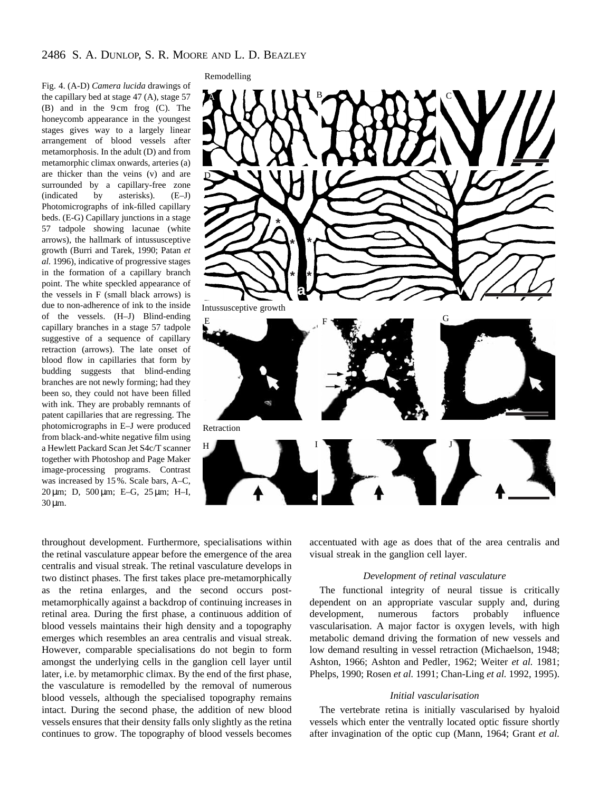Fig. 4. (A-D) *Camera lucida* drawings of the capillary bed at stage 47 (A), stage 57 (B) and in the 9 cm frog (C). The honeycomb appearance in the youngest stages gives way to a largely linear arrangement of blood vessels after metamorphosis. In the adult (D) and from metamorphic climax onwards, arteries (a) are thicker than the veins (v) and are surrounded by a capillary-free zone (indicated by asterisks). (E–J) Photomicrographs of ink-filled capillary beds. (E-G) Capillary junctions in a stage 57 tadpole showing lacunae (white arrows), the hallmark of intussusceptive growth (Burri and Tarek, 1990; Patan *et al.* 1996), indicative of progressive stages in the formation of a capillary branch point. The white speckled appearance of the vessels in F (small black arrows) is due to non-adherence of ink to the inside of the vessels. (H–J) Blind-ending capillary branches in a stage 57 tadpole suggestive of a sequence of capillary retraction (arrows). The late onset of blood flow in capillaries that form by budding suggests that blind-ending branches are not newly forming; had they been so, they could not have been filled with ink. They are probably remnants of patent capillaries that are regressing. The photomicrographs in E–J were produced from black-and-white negative film using a Hewlett Packard Scan Jet S4c/T scanner together with Photoshop and Page Maker image-processing programs. Contrast was increased by 15 %. Scale bars, A–C, 20 µm; D, 500 µm; E–G, 25 µm; H–I,  $30 \mu m$ .



throughout development. Furthermore, specialisations within the retinal vasculature appear before the emergence of the area centralis and visual streak. The retinal vasculature develops in two distinct phases. The first takes place pre-metamorphically as the retina enlarges, and the second occurs postmetamorphically against a backdrop of continuing increases in retinal area. During the first phase, a continuous addition of blood vessels maintains their high density and a topography emerges which resembles an area centralis and visual streak. However, comparable specialisations do not begin to form amongst the underlying cells in the ganglion cell layer until later, i.e. by metamorphic climax. By the end of the first phase, the vasculature is remodelled by the removal of numerous blood vessels, although the specialised topography remains intact. During the second phase, the addition of new blood vessels ensures that their density falls only slightly as the retina continues to grow. The topography of blood vessels becomes

accentuated with age as does that of the area centralis and visual streak in the ganglion cell layer.

### *Development of retinal vasculature*

The functional integrity of neural tissue is critically dependent on an appropriate vascular supply and, during development, numerous factors probably influence vascularisation. A major factor is oxygen levels, with high metabolic demand driving the formation of new vessels and low demand resulting in vessel retraction (Michaelson, 1948; Ashton, 1966; Ashton and Pedler, 1962; Weiter *et al.* 1981; Phelps, 1990; Rosen *et al.* 1991; Chan-Ling *et al.* 1992, 1995).

### *Initial vascularisation*

The vertebrate retina is initially vascularised by hyaloid vessels which enter the ventrally located optic fissure shortly after invagination of the optic cup (Mann, 1964; Grant *et al.*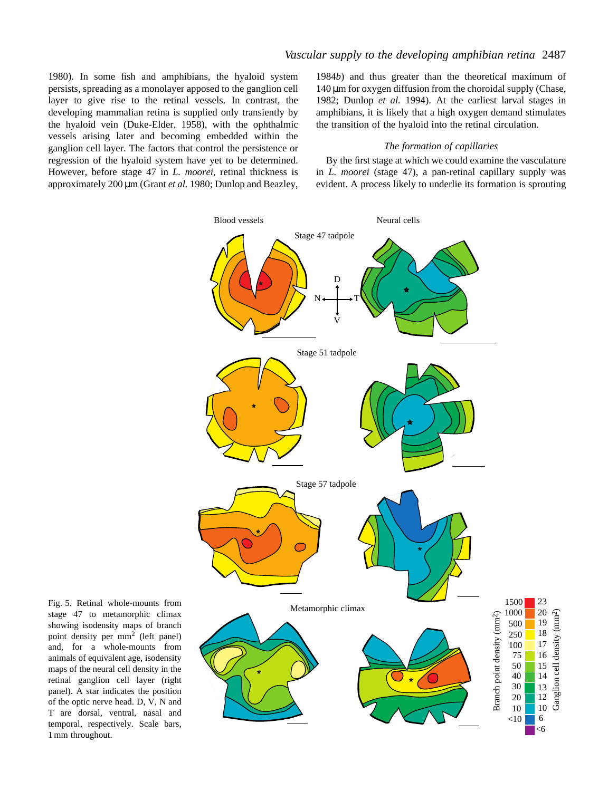1980). In some fish and amphibians, the hyaloid system persists, spreading as a monolayer apposed to the ganglion cell layer to give rise to the retinal vessels. In contrast, the developing mammalian retina is supplied only transiently by the hyaloid vein (Duke-Elder, 1958), with the ophthalmic vessels arising later and becoming embedded within the ganglion cell layer. The factors that control the persistence or regression of the hyaloid system have yet to be determined. However, before stage 47 in *L. moorei*, retinal thickness is approximately 200 µm (Grant *et al.* 1980; Dunlop and Beazley, 1984*b*) and thus greater than the theoretical maximum of  $140 \mu m$  for oxygen diffusion from the choroidal supply (Chase, 1982; Dunlop *et al.* 1994). At the earliest larval stages in amphibians, it is likely that a high oxygen demand stimulates the transition of the hyaloid into the retinal circulation.

#### *The formation of capillaries*

By the first stage at which we could examine the vasculature in *L. moorei* (stage 47), a pan-retinal capillary supply was evident. A process likely to underlie its formation is sprouting



Fig. 5. Retinal whole-mounts from stage 47 to metamorphic climax showing isodensity maps of branch point density per mm2 (left panel) and, for a whole-mounts from animals of equivalent age, isodensity maps of the neural cell density in the retinal ganglion cell layer (right panel). A star indicates the position of the optic nerve head. D, V, N and T are dorsal, ventral, nasal and temporal, respectively. Scale bars, 1mm throughout.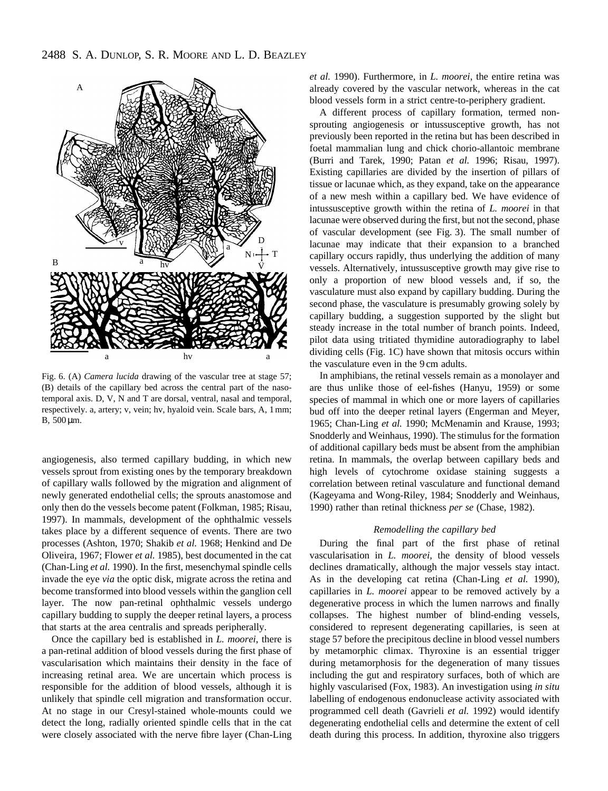

Fig. 6. (A) *Camera lucida* drawing of the vascular tree at stage 57; (B) details of the capillary bed across the central part of the nasotemporal axis. D, V, N and T are dorsal, ventral, nasal and temporal, respectively. a, artery; v, vein; hv, hyaloid vein. Scale bars, A, 1mm; B, 500 µm.

angiogenesis, also termed capillary budding, in which new vessels sprout from existing ones by the temporary breakdown of capillary walls followed by the migration and alignment of newly generated endothelial cells; the sprouts anastomose and only then do the vessels become patent (Folkman, 1985; Risau, 1997). In mammals, development of the ophthalmic vessels takes place by a different sequence of events. There are two processes (Ashton, 1970; Shakib *et al.* 1968; Henkind and De Oliveira, 1967; Flower *et al.* 1985), best documented in the cat (Chan-Ling *et al.* 1990). In the first, mesenchymal spindle cells invade the eye *via* the optic disk, migrate across the retina and become transformed into blood vessels within the ganglion cell layer. The now pan-retinal ophthalmic vessels undergo capillary budding to supply the deeper retinal layers, a process that starts at the area centralis and spreads peripherally.

Once the capillary bed is established in *L. moorei*, there is a pan-retinal addition of blood vessels during the first phase of vascularisation which maintains their density in the face of increasing retinal area. We are uncertain which process is responsible for the addition of blood vessels, although it is unlikely that spindle cell migration and transformation occur. At no stage in our Cresyl-stained whole-mounts could we detect the long, radially oriented spindle cells that in the cat were closely associated with the nerve fibre layer (Chan-Ling

*et al.* 1990). Furthermore, in *L. moorei*, the entire retina was already covered by the vascular network, whereas in the cat blood vessels form in a strict centre-to-periphery gradient.

A different process of capillary formation, termed nonsprouting angiogenesis or intussusceptive growth, has not previously been reported in the retina but has been described in foetal mammalian lung and chick chorio-allantoic membrane (Burri and Tarek, 1990; Patan *et al.* 1996; Risau, 1997). Existing capillaries are divided by the insertion of pillars of tissue or lacunae which, as they expand, take on the appearance of a new mesh within a capillary bed. We have evidence of intussusceptive growth within the retina of *L. moorei* in that lacunae were observed during the first, but not the second, phase of vascular development (see Fig. 3). The small number of lacunae may indicate that their expansion to a branched capillary occurs rapidly, thus underlying the addition of many vessels. Alternatively, intussusceptive growth may give rise to only a proportion of new blood vessels and, if so, the vasculature must also expand by capillary budding. During the second phase, the vasculature is presumably growing solely by capillary budding, a suggestion supported by the slight but steady increase in the total number of branch points. Indeed, pilot data using tritiated thymidine autoradiography to label dividing cells (Fig. 1C) have shown that mitosis occurs within the vasculature even in the 9 cm adults.

In amphibians, the retinal vessels remain as a monolayer and are thus unlike those of eel-fishes (Hanyu, 1959) or some species of mammal in which one or more layers of capillaries bud off into the deeper retinal layers (Engerman and Meyer, 1965; Chan-Ling *et al.* 1990; McMenamin and Krause, 1993; Snodderly and Weinhaus, 1990). The stimulus for the formation of additional capillary beds must be absent from the amphibian retina. In mammals, the overlap between capillary beds and high levels of cytochrome oxidase staining suggests a correlation between retinal vasculature and functional demand (Kageyama and Wong-Riley, 1984; Snodderly and Weinhaus, 1990) rather than retinal thickness *per se* (Chase, 1982).

# *Remodelling the capillary bed*

During the final part of the first phase of retinal vascularisation in *L. moorei*, the density of blood vessels declines dramatically, although the major vessels stay intact. As in the developing cat retina (Chan-Ling *et al.* 1990), capillaries in *L. moorei* appear to be removed actively by a degenerative process in which the lumen narrows and finally collapses. The highest number of blind-ending vessels, considered to represent degenerating capillaries, is seen at stage 57 before the precipitous decline in blood vessel numbers by metamorphic climax. Thyroxine is an essential trigger during metamorphosis for the degeneration of many tissues including the gut and respiratory surfaces, both of which are highly vascularised (Fox, 1983). An investigation using *in situ* labelling of endogenous endonuclease activity associated with programmed cell death (Gavrieli *et al.* 1992) would identify degenerating endothelial cells and determine the extent of cell death during this process. In addition, thyroxine also triggers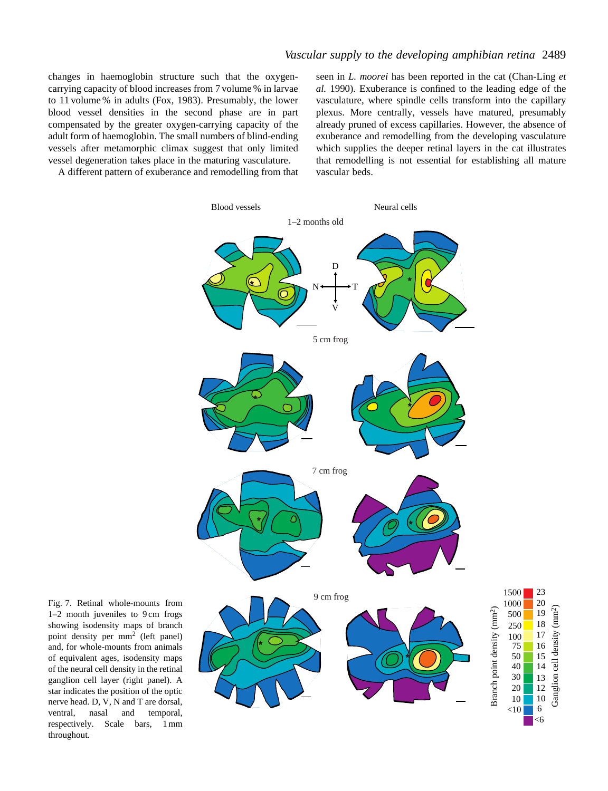changes in haemoglobin structure such that the oxygencarrying capacity of blood increases from 7 volume % in larvae to 11 volume % in adults (Fox, 1983). Presumably, the lower blood vessel densities in the second phase are in part compensated by the greater oxygen-carrying capacity of the adult form of haemoglobin. The small numbers of blind-ending vessels after metamorphic climax suggest that only limited vessel degeneration takes place in the maturing vasculature.

A different pattern of exuberance and remodelling from that

seen in *L. moorei* has been reported in the cat (Chan-Ling *et al.* 1990). Exuberance is confined to the leading edge of the vasculature, where spindle cells transform into the capillary plexus. More centrally, vessels have matured, presumably already pruned of excess capillaries. However, the absence of exuberance and remodelling from the developing vasculature which supplies the deeper retinal layers in the cat illustrates that remodelling is not essential for establishing all mature vascular beds.

> Ganglion cell density (m Ganglion cell density (mm<sup>2</sup>)



Fig. 7. Retinal whole-mounts from 1–2 month juveniles to 9 cm frogs showing isodensity maps of branch point density per mm2 (left panel) and, for whole-mounts from animals of equivalent ages, isodensity maps of the neural cell density in the retinal ganglion cell layer (right panel). A star indicates the position of the optic nerve head. D, V, N and T are dorsal, ventral, nasal and temporal, respectively. Scale bars, 1mm throughout.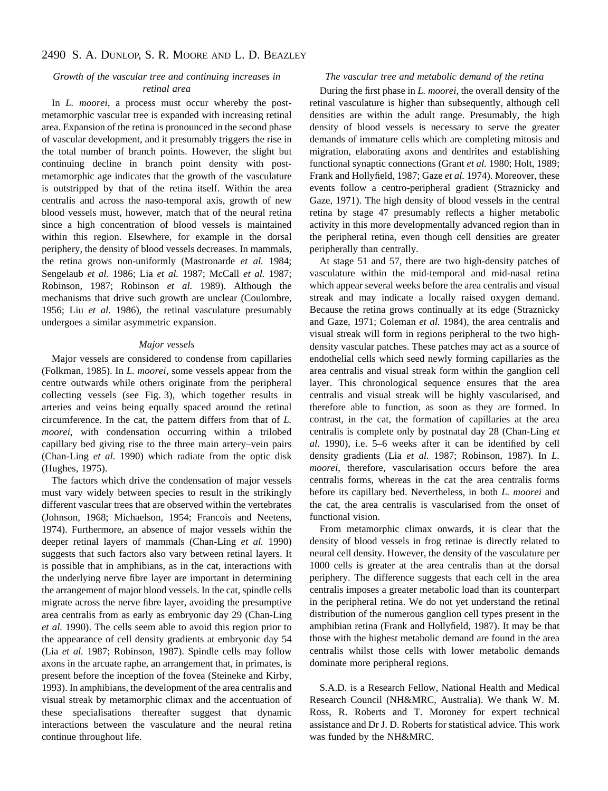# 2490 S. A. DUNLOP, S. R. MOORE AND L. D. BEAZLEY

# *Growth of the vascular tree and continuing increases in retinal area*

In *L. moorei*, a process must occur whereby the postmetamorphic vascular tree is expanded with increasing retinal area. Expansion of the retina is pronounced in the second phase of vascular development, and it presumably triggers the rise in the total number of branch points. However, the slight but continuing decline in branch point density with postmetamorphic age indicates that the growth of the vasculature is outstripped by that of the retina itself. Within the area centralis and across the naso-temporal axis, growth of new blood vessels must, however, match that of the neural retina since a high concentration of blood vessels is maintained within this region. Elsewhere, for example in the dorsal periphery, the density of blood vessels decreases. In mammals, the retina grows non-uniformly (Mastronarde *et al.* 1984; Sengelaub *et al.* 1986; Lia *et al.* 1987; McCall *et al.* 1987; Robinson, 1987; Robinson *et al.* 1989). Although the mechanisms that drive such growth are unclear (Coulombre, 1956; Liu *et al.* 1986), the retinal vasculature presumably undergoes a similar asymmetric expansion.

# *Major vessels*

Major vessels are considered to condense from capillaries (Folkman, 1985). In *L. moorei*, some vessels appear from the centre outwards while others originate from the peripheral collecting vessels (see Fig. 3), which together results in arteries and veins being equally spaced around the retinal circumference. In the cat, the pattern differs from that of *L. moorei*, with condensation occurring within a trilobed capillary bed giving rise to the three main artery–vein pairs (Chan-Ling *et al.* 1990) which radiate from the optic disk (Hughes, 1975).

The factors which drive the condensation of major vessels must vary widely between species to result in the strikingly different vascular trees that are observed within the vertebrates (Johnson, 1968; Michaelson, 1954; Francois and Neetens, 1974). Furthermore, an absence of major vessels within the deeper retinal layers of mammals (Chan-Ling *et al.* 1990) suggests that such factors also vary between retinal layers. It is possible that in amphibians, as in the cat, interactions with the underlying nerve fibre layer are important in determining the arrangement of major blood vessels. In the cat, spindle cells migrate across the nerve fibre layer, avoiding the presumptive area centralis from as early as embryonic day 29 (Chan-Ling *et al.* 1990). The cells seem able to avoid this region prior to the appearance of cell density gradients at embryonic day 54 (Lia *et al.* 1987; Robinson, 1987). Spindle cells may follow axons in the arcuate raphe, an arrangement that, in primates, is present before the inception of the fovea (Steineke and Kirby, 1993). In amphibians, the development of the area centralis and visual streak by metamorphic climax and the accentuation of these specialisations thereafter suggest that dynamic interactions between the vasculature and the neural retina continue throughout life.

# *The vascular tree and metabolic demand of the retina*

During the first phase in *L. moorei*, the overall density of the retinal vasculature is higher than subsequently, although cell densities are within the adult range. Presumably, the high density of blood vessels is necessary to serve the greater demands of immature cells which are completing mitosis and migration, elaborating axons and dendrites and establishing functional synaptic connections (Grant *et al.* 1980; Holt, 1989; Frank and Hollyfield, 1987; Gaze *et al.* 1974). Moreover, these events follow a centro-peripheral gradient (Straznicky and Gaze, 1971). The high density of blood vessels in the central retina by stage 47 presumably reflects a higher metabolic activity in this more developmentally advanced region than in the peripheral retina, even though cell densities are greater peripherally than centrally.

At stage 51 and 57, there are two high-density patches of vasculature within the mid-temporal and mid-nasal retina which appear several weeks before the area centralis and visual streak and may indicate a locally raised oxygen demand. Because the retina grows continually at its edge (Straznicky and Gaze, 1971; Coleman *et al.* 1984), the area centralis and visual streak will form in regions peripheral to the two highdensity vascular patches. These patches may act as a source of endothelial cells which seed newly forming capillaries as the area centralis and visual streak form within the ganglion cell layer. This chronological sequence ensures that the area centralis and visual streak will be highly vascularised, and therefore able to function, as soon as they are formed. In contrast, in the cat, the formation of capillaries at the area centralis is complete only by postnatal day 28 (Chan-Ling *et al.* 1990), i.e. 5–6 weeks after it can be identified by cell density gradients (Lia *et al.* 1987; Robinson, 1987). In *L. moorei*, therefore, vascularisation occurs before the area centralis forms, whereas in the cat the area centralis forms before its capillary bed. Nevertheless, in both *L. moorei* and the cat, the area centralis is vascularised from the onset of functional vision.

From metamorphic climax onwards, it is clear that the density of blood vessels in frog retinae is directly related to neural cell density. However, the density of the vasculature per 1000 cells is greater at the area centralis than at the dorsal periphery. The difference suggests that each cell in the area centralis imposes a greater metabolic load than its counterpart in the peripheral retina. We do not yet understand the retinal distribution of the numerous ganglion cell types present in the amphibian retina (Frank and Hollyfield, 1987). It may be that those with the highest metabolic demand are found in the area centralis whilst those cells with lower metabolic demands dominate more peripheral regions.

S.A.D. is a Research Fellow, National Health and Medical Research Council (NH&MRC, Australia). We thank W. M. Ross, R. Roberts and T. Moroney for expert technical assistance and Dr J. D. Roberts for statistical advice. This work was funded by the NH&MRC.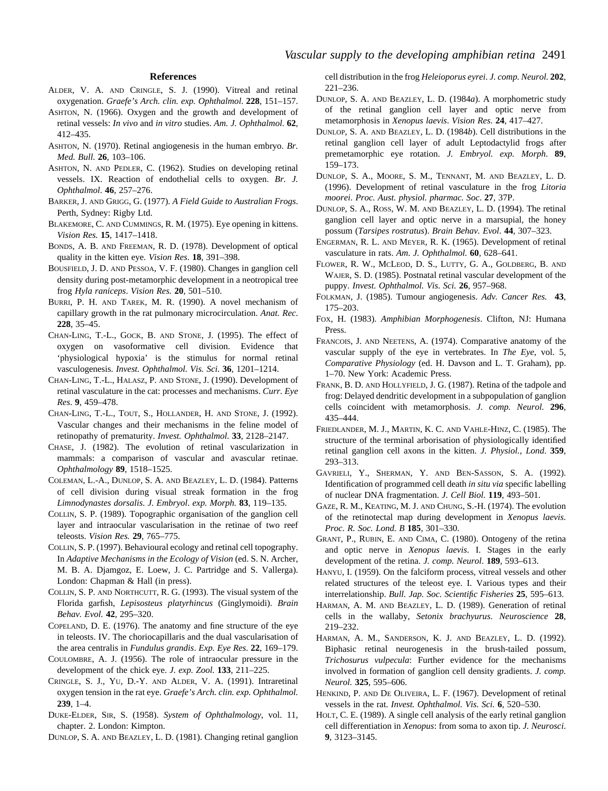### **References**

- ALDER, V. A. AND CRINGLE, S. J. (1990). Vitreal and retinal oxygenation. *Graefe's Arch. clin. exp. Ophthalmol*. **228**, 151–157.
- ASHTON, N. (1966). Oxygen and the growth and development of retinal vessels: *In vivo* and *in vitro* studies. *Am. J. Ophthalmol*. **62**, 412–435.
- ASHTON, N. (1970). Retinal angiogenesis in the human embryo. *Br. Med. Bull.* **26**, 103–106.
- ASHTON, N. AND PEDLER, C. (1962). Studies on developing retinal vessels. IX. Reaction of endothelial cells to oxygen. *Br. J. Ophthalmol*. **46**, 257–276.
- BARKER, J. AND GRIGG, G. (1977). *A Field Guide to Australian Frogs*. Perth, Sydney: Rigby Ltd.
- BLAKEMORE, C. AND CUMMINGS, R. M. (1975). Eye opening in kittens. *Vision Res.* **15**, 1417–1418.
- BONDS, A. B. AND FREEMAN, R. D. (1978). Development of optical quality in the kitten eye. *Vision Res*. **18**, 391–398.
- BOUSFIELD, J. D. AND PESSOA, V. F. (1980). Changes in ganglion cell density during post-metamorphic development in a neotropical tree frog *Hyla raniceps*. *Vision Res.* **20**, 501–510.
- BURRI, P. H. AND TAREK, M. R. (1990). A novel mechanism of capillary growth in the rat pulmonary microcirculation. *Anat. Rec*. **228**, 35–45.
- CHAN-LING, T.-L., GOCK, B. AND STONE, J. (1995). The effect of oxygen on vasoformative cell division. Evidence that 'physiological hypoxia' is the stimulus for normal retinal vasculogenesis. *Invest. Ophthalmol. Vis. Sci.* **36**, 1201–1214.
- CHAN-LING, T.-L., HALASZ, P. AND STONE, J. (1990). Development of retinal vasculature in the cat: processes and mechanisms. *Curr. Eye Res*. **9**, 459–478.
- CHAN-LING, T.-L., TOUT, S., HOLLANDER, H. AND STONE, J. (1992). Vascular changes and their mechanisms in the feline model of retinopathy of prematurity. *Invest. Ophthalmol.* **33**, 2128–2147.
- CHASE, J. (1982). The evolution of retinal vascularization in mammals: a comparison of vascular and avascular retinae. *Ophthalmology* **89**, 1518–1525.
- COLEMAN, L.-A., DUNLOP, S. A. AND BEAZLEY, L. D. (1984). Patterns of cell division during visual streak formation in the frog *Limnodynastes dorsalis*. *J. Embryol*. *exp. Morph.* **83**, 119–135.
- COLLIN, S. P. (1989). Topographic organisation of the ganglion cell layer and intraocular vascularisation in the retinae of two reef teleosts. *Vision Res.* **29**, 765–775.
- COLLIN, S. P. (1997). Behavioural ecology and retinal cell topography. In *Adaptive Mechanisms in the Ecology of Vision* (ed. S. N. Archer, M. B. A. Djamgoz, E. Loew, J. C. Partridge and S. Vallerga). London: Chapman & Hall (in press).
- COLLIN, S. P. AND NORTHCUTT, R. G. (1993). The visual system of the Florida garfish, *Lepisosteus platyrhincus* (Ginglymoidi). *Brain Behav. Evol.* **42**, 295–320.
- COPELAND, D. E. (1976). The anatomy and fine structure of the eye in teleosts. IV. The choriocapillaris and the dual vascularisation of the area centralis in *Fundulus grandis*. *Exp. Eye Res.* **22**, 169–179.
- COULOMBRE, A. J. (1956). The role of intraocular pressure in the development of the chick eye. *J. exp. Zool.* **133**, 211–225.
- CRINGLE, S. J., YU, D.-Y. AND ALDER, V. A. (1991). Intraretinal oxygen tension in the rat eye. *Graefe's Arch. clin. exp. Ophthalmol.* **239**, 1–4.
- DUKE-ELDER, SIR, S. (1958). *System of Ophthalmology*, vol. 11, chapter. 2. London: Kimpton.

DUNLOP, S. A. AND BEAZLEY, L. D. (1981). Changing retinal ganglion

cell distribution in the frog *Heleioporus eyrei*. *J. comp. Neurol.* **202**, 221–236.

- DUNLOP, S. A. AND BEAZLEY, L. D. (1984*a*). A morphometric study of the retinal ganglion cell layer and optic nerve from metamorphosis in *Xenopus laevis*. *Vision Res*. **24**, 417–427.
- DUNLOP, S. A. AND BEAZLEY, L. D. (1984*b*). Cell distributions in the retinal ganglion cell layer of adult Leptodactylid frogs after premetamorphic eye rotation. *J. Embryol. exp. Morph*. **89**, 159–173.
- DUNLOP, S. A., MOORE, S. M., TENNANT, M. AND BEAZLEY, L. D. (1996). Development of retinal vasculature in the frog *Litoria moorei*. *Proc. Aust. physiol. pharmac. Soc*. **27**, 37P.
- DUNLOP, S. A., ROSS, W. M. AND BEAZLEY, L. D. (1994). The retinal ganglion cell layer and optic nerve in a marsupial, the honey possum (*Tarsipes rostratus*). *Brain Behav. Evol*. **44**, 307–323.
- ENGERMAN, R. L. AND MEYER, R. K. (1965). Development of retinal vasculature in rats. *Am. J. Ophthalmol.* **60**, 628–641.
- FLOWER, R. W., MCLEOD, D. S., LUTTY, G. A., GOLDBERG, B. AND WAJER, S. D. (1985). Postnatal retinal vascular development of the puppy. *Invest. Ophthalmol. Vis. Sci.* **26**, 957–968.
- FOLKMAN, J. (1985). Tumour angiogenesis. *Adv. Cancer Res.* **43**, 175–203.
- FOX, H. (1983). *Amphibian Morphogenesis*. Clifton, NJ: Humana Press.
- FRANCOIS, J. AND NEETENS, A. (1974). Comparative anatomy of the vascular supply of the eye in vertebrates. In *The Eye*, vol. 5, *Comparative Physiology* (ed. H. Davson and L. T. Graham), pp. 1–70. New York: Academic Press.
- FRANK, B. D. AND HOLLYFIELD, J. G. (1987). Retina of the tadpole and frog: Delayed dendritic development in a subpopulation of ganglion cells coincident with metamorphosis. *J. comp. Neurol.* **296**, 435–444.
- FRIEDLANDER, M. J., MARTIN, K. C. AND VAHLE-HINZ, C. (1985). The structure of the terminal arborisation of physiologically identified retinal ganglion cell axons in the kitten. *J. Physiol.*, *Lond*. **359**, 293–313.
- GAVRIELI, Y., SHERMAN, Y. AND BEN-SASSON, S. A. (1992). Identification of programmed cell death *in situ via* specific labelling of nuclear DNA fragmentation. *J. Cell Biol.* **119**, 493–501.
- GAZE, R. M., KEATING, M. J. AND CHUNG, S.-H. (1974). The evolution of the retinotectal map during development in *Xenopus laevis*. *Proc. R. Soc. Lond. B* **185**, 301–330.
- GRANT, P., RUBIN, E. AND CIMA, C. (1980). Ontogeny of the retina and optic nerve in *Xenopus laevis*. I. Stages in the early development of the retina. *J. comp. Neurol*. **189**, 593–613.
- HANYU, I. (1959). On the falciform process, vitreal vessels and other related structures of the teleost eye. I. Various types and their interrelationship. *Bull. Jap. Soc. Scientific Fisheries* **25**, 595–613.
- HARMAN, A. M. AND BEAZLEY, L. D. (1989). Generation of retinal cells in the wallaby, *Setonix brachyurus*. *Neuroscience* **28**, 219–232.
- HARMAN, A. M., SANDERSON, K. J. AND BEAZLEY, L. D. (1992). Biphasic retinal neurogenesis in the brush-tailed possum, *Trichosurus vulpecula*: Further evidence for the mechanisms involved in formation of ganglion cell density gradients. *J. comp. Neurol.* **325**, 595–606.
- HENKIND, P. AND DE OLIVEIRA, L. F. (1967). Development of retinal vessels in the rat. *Invest. Ophthalmol. Vis. Sci.* **6**, 520–530.
- HOLT, C. E. (1989). A single cell analysis of the early retinal ganglion cell differentiation in *Xenopus*: from soma to axon tip. *J. Neurosci*. **9**, 3123–3145.